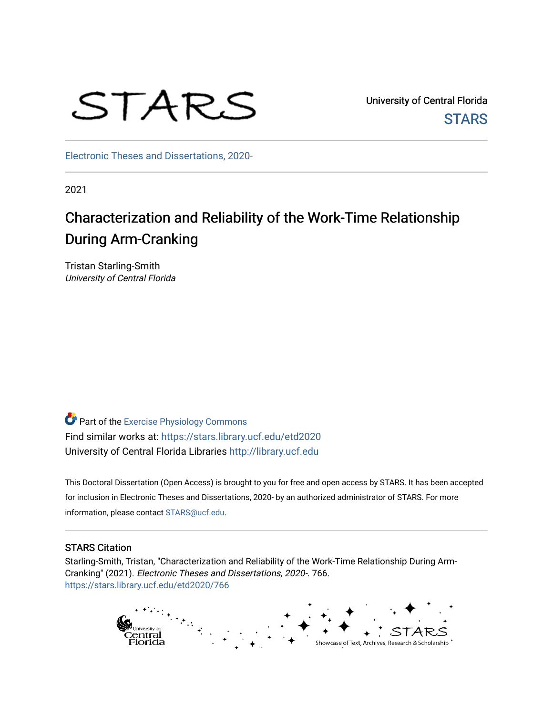# STARS

University of Central Florida **STARS** 

[Electronic Theses and Dissertations, 2020-](https://stars.library.ucf.edu/etd2020) 

2021

## Characterization and Reliability of the Work-Time Relationship During Arm-Cranking

Tristan Starling-Smith University of Central Florida

Part of the [Exercise Physiology Commons](http://network.bepress.com/hgg/discipline/73?utm_source=stars.library.ucf.edu%2Fetd2020%2F766&utm_medium=PDF&utm_campaign=PDFCoverPages)  Find similar works at: <https://stars.library.ucf.edu/etd2020> University of Central Florida Libraries [http://library.ucf.edu](http://library.ucf.edu/) 

This Doctoral Dissertation (Open Access) is brought to you for free and open access by STARS. It has been accepted for inclusion in Electronic Theses and Dissertations, 2020- by an authorized administrator of STARS. For more information, please contact [STARS@ucf.edu.](mailto:STARS@ucf.edu)

#### STARS Citation

Starling-Smith, Tristan, "Characterization and Reliability of the Work-Time Relationship During Arm-Cranking" (2021). Electronic Theses and Dissertations, 2020-. 766. [https://stars.library.ucf.edu/etd2020/766](https://stars.library.ucf.edu/etd2020/766?utm_source=stars.library.ucf.edu%2Fetd2020%2F766&utm_medium=PDF&utm_campaign=PDFCoverPages) 

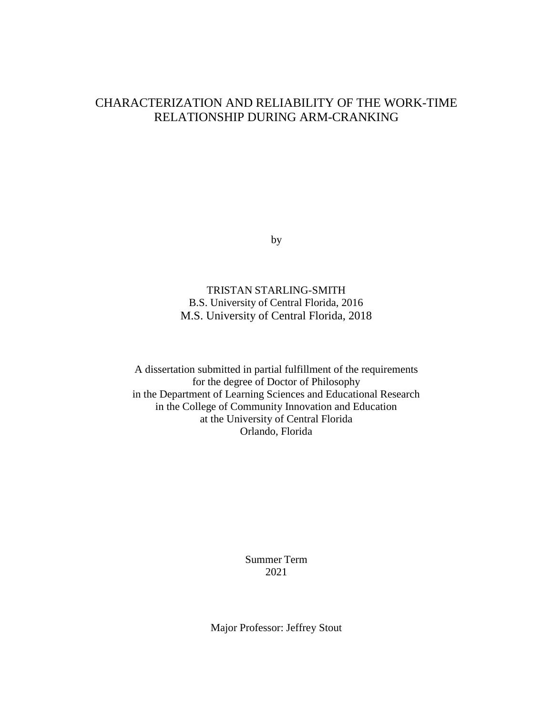### CHARACTERIZATION AND RELIABILITY OF THE WORK-TIME RELATIONSHIP DURING ARM-CRANKING

by

TRISTAN STARLING-SMITH B.S. University of Central Florida, 2016 M.S. University of Central Florida, 2018

A dissertation submitted in partial fulfillment of the requirements for the degree of Doctor of Philosophy in the Department of Learning Sciences and Educational Research in the College of Community Innovation and Education at the University of Central Florida Orlando, Florida

> Summer Term 2021

Major Professor: Jeffrey Stout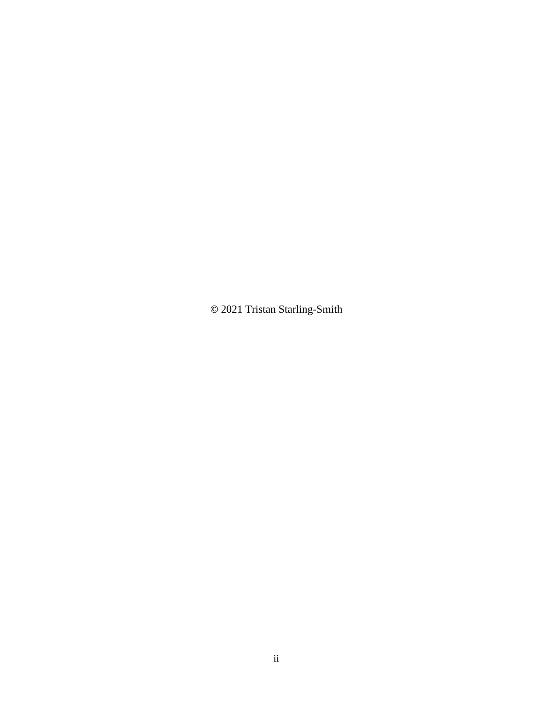**©** 2021 Tristan Starling-Smith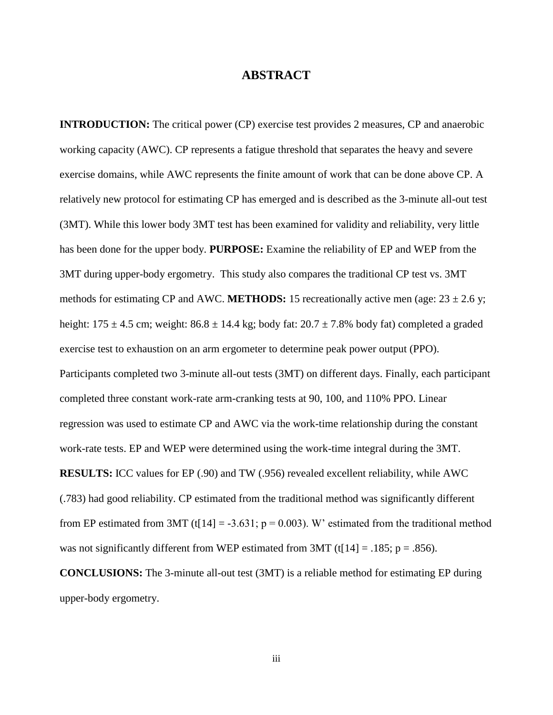#### **ABSTRACT**

**INTRODUCTION:** The critical power (CP) exercise test provides 2 measures, CP and anaerobic working capacity (AWC). CP represents a fatigue threshold that separates the heavy and severe exercise domains, while AWC represents the finite amount of work that can be done above CP. A relatively new protocol for estimating CP has emerged and is described as the 3-minute all-out test (3MT). While this lower body 3MT test has been examined for validity and reliability, very little has been done for the upper body. **PURPOSE:** Examine the reliability of EP and WEP from the 3MT during upper-body ergometry. This study also compares the traditional CP test vs. 3MT methods for estimating CP and AWC. **METHODS:** 15 recreationally active men (age:  $23 \pm 2.6$  y; height:  $175 \pm 4.5$  cm; weight:  $86.8 \pm 14.4$  kg; body fat:  $20.7 \pm 7.8$ % body fat) completed a graded exercise test to exhaustion on an arm ergometer to determine peak power output (PPO). Participants completed two 3-minute all-out tests (3MT) on different days. Finally, each participant completed three constant work-rate arm-cranking tests at 90, 100, and 110% PPO. Linear regression was used to estimate CP and AWC via the work-time relationship during the constant work-rate tests. EP and WEP were determined using the work-time integral during the 3MT. **RESULTS:** ICC values for EP (.90) and TW (.956) revealed excellent reliability, while AWC (.783) had good reliability. CP estimated from the traditional method was significantly different from EP estimated from 3MT (t[14] = -3.631;  $p = 0.003$ ). W' estimated from the traditional method was not significantly different from WEP estimated from 3MT (t[14] = .185;  $p = .856$ ). **CONCLUSIONS:** The 3-minute all-out test (3MT) is a reliable method for estimating EP during

upper-body ergometry.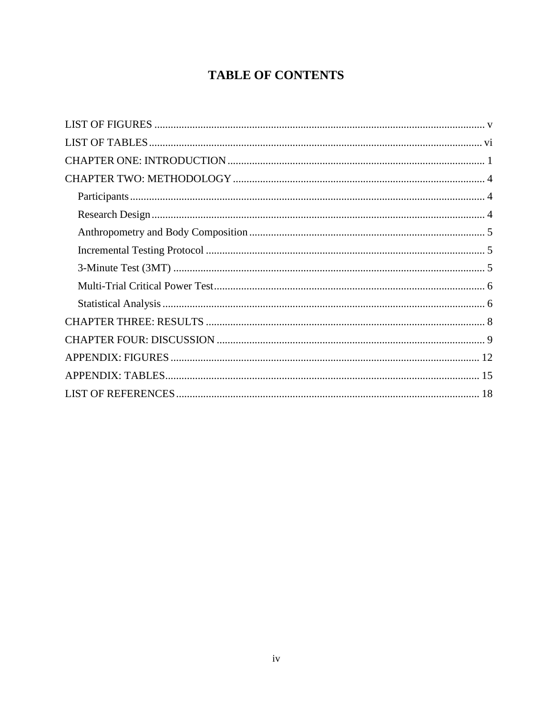## **TABLE OF CONTENTS**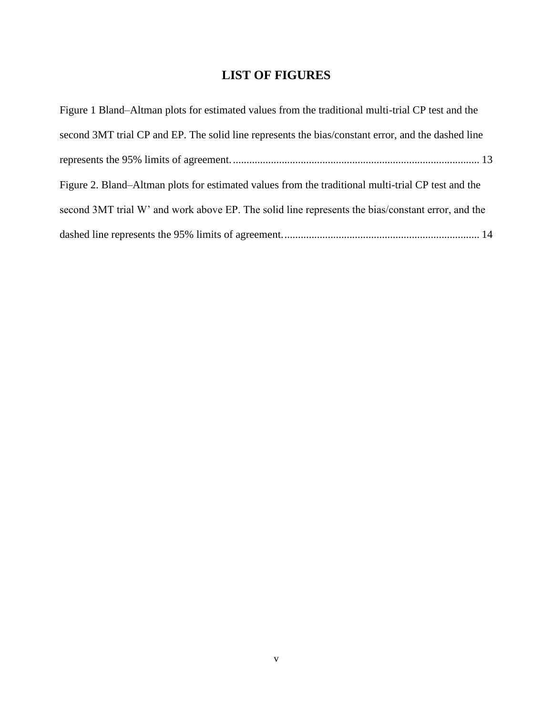## **LIST OF FIGURES**

<span id="page-5-0"></span>

| Figure 1 Bland–Altman plots for estimated values from the traditional multi-trial CP test and the  |
|----------------------------------------------------------------------------------------------------|
| second 3MT trial CP and EP. The solid line represents the bias/constant error, and the dashed line |
|                                                                                                    |
| Figure 2. Bland–Altman plots for estimated values from the traditional multi-trial CP test and the |
| second 3MT trial W' and work above EP. The solid line represents the bias/constant error, and the  |
|                                                                                                    |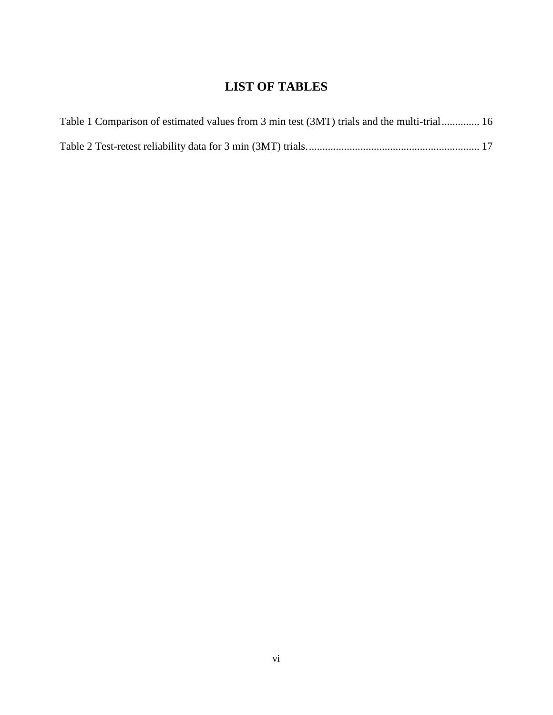## **LIST OF TABLES**

<span id="page-6-0"></span>

| Table 1 Comparison of estimated values from 3 min test (3MT) trials and the multi-trial 16 |  |
|--------------------------------------------------------------------------------------------|--|
|                                                                                            |  |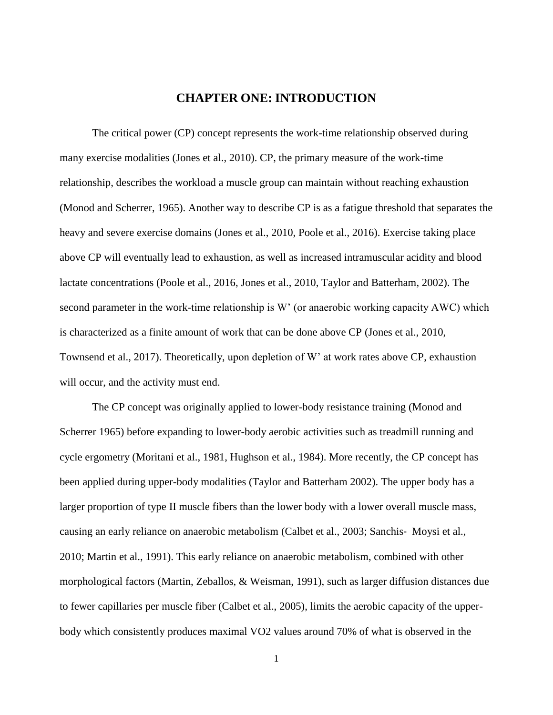#### **CHAPTER ONE: INTRODUCTION**

<span id="page-7-0"></span>The critical power (CP) concept represents the work-time relationship observed during many exercise modalities (Jones et al., 2010). CP, the primary measure of the work-time relationship, describes the workload a muscle group can maintain without reaching exhaustion (Monod and Scherrer, 1965). Another way to describe CP is as a fatigue threshold that separates the heavy and severe exercise domains (Jones et al., 2010, Poole et al., 2016). Exercise taking place above CP will eventually lead to exhaustion, as well as increased intramuscular acidity and blood lactate concentrations (Poole et al., 2016, Jones et al., 2010, Taylor and Batterham, 2002). The second parameter in the work-time relationship is W' (or anaerobic working capacity AWC) which is characterized as a finite amount of work that can be done above CP (Jones et al., 2010, Townsend et al., 2017). Theoretically, upon depletion of W' at work rates above CP, exhaustion will occur, and the activity must end.

The CP concept was originally applied to lower-body resistance training (Monod and Scherrer 1965) before expanding to lower-body aerobic activities such as treadmill running and cycle ergometry (Moritani et al., 1981, Hughson et al., 1984). More recently, the CP concept has been applied during upper-body modalities (Taylor and Batterham 2002). The upper body has a larger proportion of type II muscle fibers than the lower body with a lower overall muscle mass, causing an early reliance on anaerobic metabolism (Calbet et al., 2003; Sanchis‐ Moysi et al., 2010; Martin et al., 1991). This early reliance on anaerobic metabolism, combined with other morphological factors (Martin, Zeballos, & Weisman, 1991), such as larger diffusion distances due to fewer capillaries per muscle fiber (Calbet et al., 2005), limits the aerobic capacity of the upperbody which consistently produces maximal VO2 values around 70% of what is observed in the

1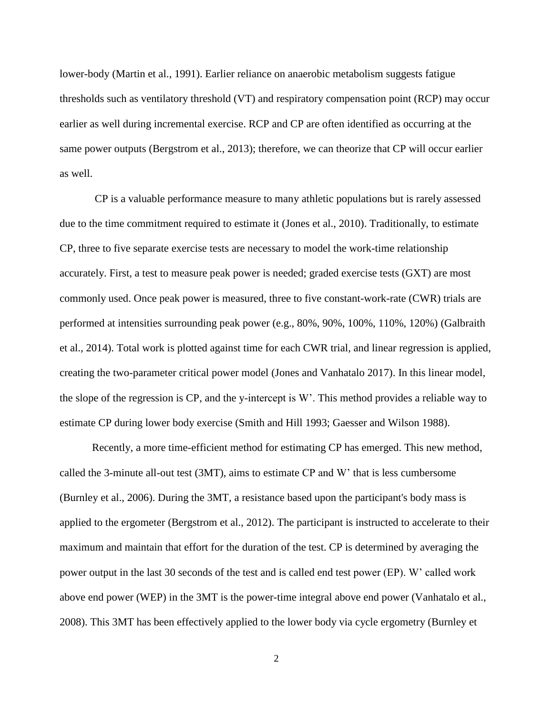lower-body (Martin et al., 1991). Earlier reliance on anaerobic metabolism suggests fatigue thresholds such as ventilatory threshold (VT) and respiratory compensation point (RCP) may occur earlier as well during incremental exercise. RCP and CP are often identified as occurring at the same power outputs (Bergstrom et al., 2013); therefore, we can theorize that CP will occur earlier as well.

CP is a valuable performance measure to many athletic populations but is rarely assessed due to the time commitment required to estimate it (Jones et al., 2010). Traditionally, to estimate CP, three to five separate exercise tests are necessary to model the work-time relationship accurately. First, a test to measure peak power is needed; graded exercise tests (GXT) are most commonly used. Once peak power is measured, three to five constant-work-rate (CWR) trials are performed at intensities surrounding peak power (e.g., 80%, 90%, 100%, 110%, 120%) (Galbraith et al., 2014). Total work is plotted against time for each CWR trial, and linear regression is applied, creating the two-parameter critical power model (Jones and Vanhatalo 2017). In this linear model, the slope of the regression is CP, and the y-intercept is W'. This method provides a reliable way to estimate CP during lower body exercise (Smith and Hill 1993; Gaesser and Wilson 1988).

Recently, a more time-efficient method for estimating CP has emerged. This new method, called the 3-minute all-out test (3MT), aims to estimate CP and W' that is less cumbersome (Burnley et al., 2006). During the 3MT, a resistance based upon the participant's body mass is applied to the ergometer (Bergstrom et al., 2012). The participant is instructed to accelerate to their maximum and maintain that effort for the duration of the test. CP is determined by averaging the power output in the last 30 seconds of the test and is called end test power (EP). W' called work above end power (WEP) in the 3MT is the power-time integral above end power (Vanhatalo et al., 2008). This 3MT has been effectively applied to the lower body via cycle ergometry (Burnley et

2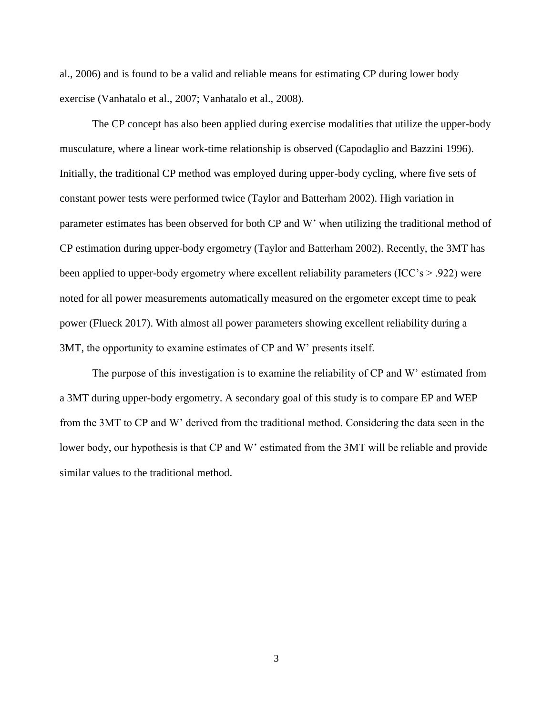al., 2006) and is found to be a valid and reliable means for estimating CP during lower body exercise (Vanhatalo et al., 2007; Vanhatalo et al., 2008).

The CP concept has also been applied during exercise modalities that utilize the upper-body musculature, where a linear work-time relationship is observed (Capodaglio and Bazzini 1996). Initially, the traditional CP method was employed during upper-body cycling, where five sets of constant power tests were performed twice (Taylor and Batterham 2002). High variation in parameter estimates has been observed for both CP and W' when utilizing the traditional method of CP estimation during upper-body ergometry (Taylor and Batterham 2002). Recently, the 3MT has been applied to upper-body ergometry where excellent reliability parameters (ICC's  $> .922$ ) were noted for all power measurements automatically measured on the ergometer except time to peak power (Flueck 2017). With almost all power parameters showing excellent reliability during a 3MT, the opportunity to examine estimates of CP and W' presents itself.

The purpose of this investigation is to examine the reliability of CP and W' estimated from a 3MT during upper-body ergometry. A secondary goal of this study is to compare EP and WEP from the 3MT to CP and W' derived from the traditional method. Considering the data seen in the lower body, our hypothesis is that CP and W' estimated from the 3MT will be reliable and provide similar values to the traditional method.

3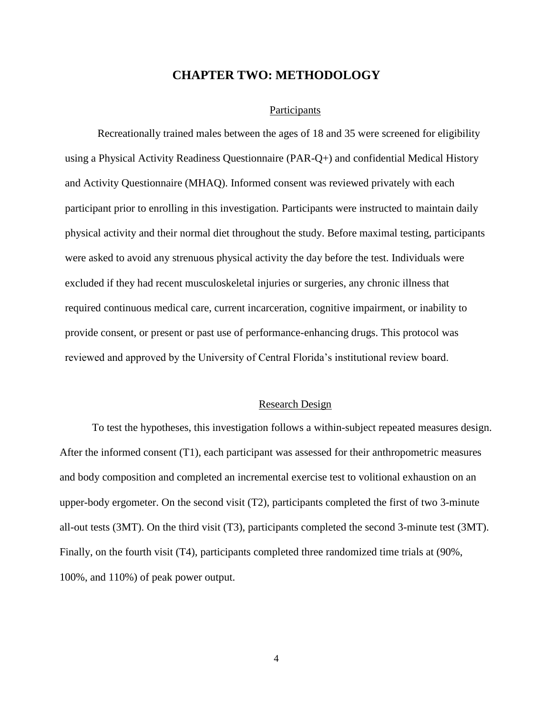#### **CHAPTER TWO: METHODOLOGY**

#### **Participants**

<span id="page-10-1"></span><span id="page-10-0"></span>Recreationally trained males between the ages of 18 and 35 were screened for eligibility using a Physical Activity Readiness Questionnaire (PAR-Q+) and confidential Medical History and Activity Questionnaire (MHAQ). Informed consent was reviewed privately with each participant prior to enrolling in this investigation. Participants were instructed to maintain daily physical activity and their normal diet throughout the study. Before maximal testing, participants were asked to avoid any strenuous physical activity the day before the test. Individuals were excluded if they had recent musculoskeletal injuries or surgeries, any chronic illness that required continuous medical care, current incarceration, cognitive impairment, or inability to provide consent, or present or past use of performance-enhancing drugs. This protocol was reviewed and approved by the University of Central Florida's institutional review board.

#### Research Design

<span id="page-10-2"></span>To test the hypotheses, this investigation follows a within-subject repeated measures design. After the informed consent (T1), each participant was assessed for their anthropometric measures and body composition and completed an incremental exercise test to volitional exhaustion on an upper-body ergometer. On the second visit (T2), participants completed the first of two 3-minute all-out tests (3MT). On the third visit (T3), participants completed the second 3-minute test (3MT). Finally, on the fourth visit (T4), participants completed three randomized time trials at (90%, 100%, and 110%) of peak power output.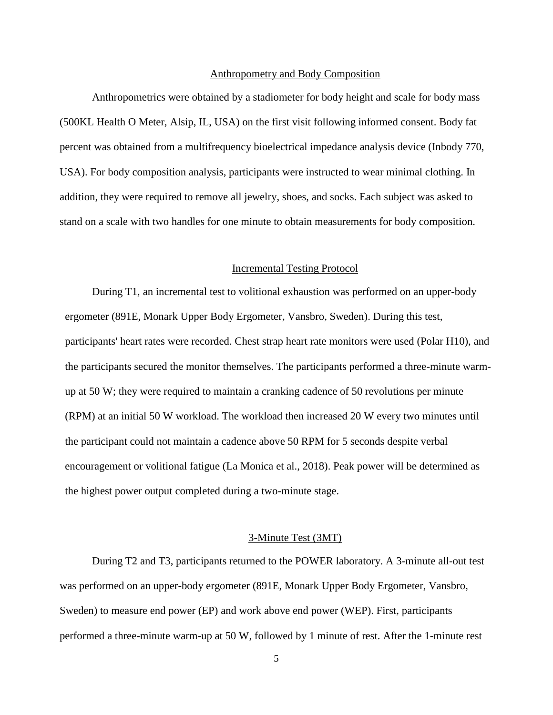#### Anthropometry and Body Composition

<span id="page-11-0"></span>Anthropometrics were obtained by a stadiometer for body height and scale for body mass (500KL Health O Meter, Alsip, IL, USA) on the first visit following informed consent. Body fat percent was obtained from a multifrequency bioelectrical impedance analysis device (Inbody 770, USA). For body composition analysis, participants were instructed to wear minimal clothing. In addition, they were required to remove all jewelry, shoes, and socks. Each subject was asked to stand on a scale with two handles for one minute to obtain measurements for body composition.

#### Incremental Testing Protocol

<span id="page-11-1"></span>During T1, an incremental test to volitional exhaustion was performed on an upper-body ergometer (891E, Monark Upper Body Ergometer, Vansbro, Sweden). During this test, participants' heart rates were recorded. Chest strap heart rate monitors were used (Polar H10), and the participants secured the monitor themselves. The participants performed a three-minute warmup at 50 W; they were required to maintain a cranking cadence of 50 revolutions per minute (RPM) at an initial 50 W workload. The workload then increased 20 W every two minutes until the participant could not maintain a cadence above 50 RPM for 5 seconds despite verbal encouragement or volitional fatigue (La Monica et al., 2018). Peak power will be determined as the highest power output completed during a two-minute stage.

#### 3-Minute Test (3MT)

<span id="page-11-2"></span>During T2 and T3, participants returned to the POWER laboratory. A 3-minute all-out test was performed on an upper-body ergometer (891E, Monark Upper Body Ergometer, Vansbro, Sweden) to measure end power (EP) and work above end power (WEP). First, participants performed a three-minute warm-up at 50 W, followed by 1 minute of rest. After the 1-minute rest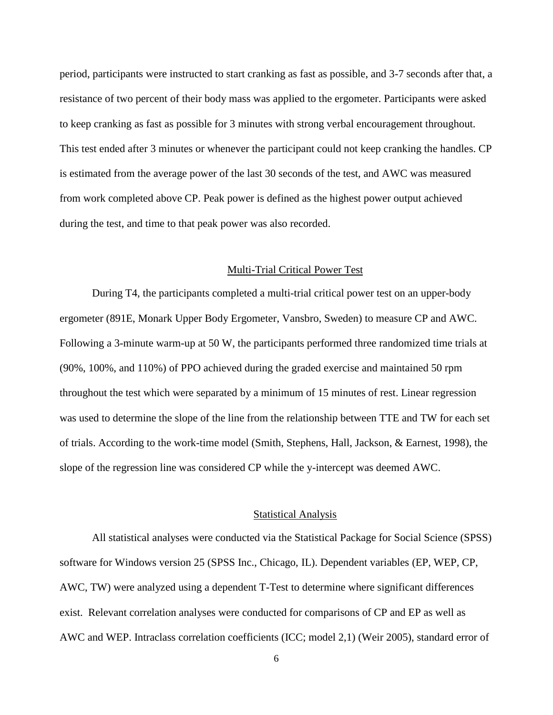period, participants were instructed to start cranking as fast as possible, and 3-7 seconds after that, a resistance of two percent of their body mass was applied to the ergometer. Participants were asked to keep cranking as fast as possible for 3 minutes with strong verbal encouragement throughout. This test ended after 3 minutes or whenever the participant could not keep cranking the handles. CP is estimated from the average power of the last 30 seconds of the test, and AWC was measured from work completed above CP. Peak power is defined as the highest power output achieved during the test, and time to that peak power was also recorded.

#### Multi-Trial Critical Power Test

<span id="page-12-0"></span>During T4, the participants completed a multi-trial critical power test on an upper-body ergometer (891E, Monark Upper Body Ergometer, Vansbro, Sweden) to measure CP and AWC. Following a 3-minute warm-up at 50 W, the participants performed three randomized time trials at (90%, 100%, and 110%) of PPO achieved during the graded exercise and maintained 50 rpm throughout the test which were separated by a minimum of 15 minutes of rest. Linear regression was used to determine the slope of the line from the relationship between TTE and TW for each set of trials. According to the work-time model (Smith, Stephens, Hall, Jackson, & Earnest, 1998), the slope of the regression line was considered CP while the y-intercept was deemed AWC.

#### Statistical Analysis

<span id="page-12-1"></span>All statistical analyses were conducted via the Statistical Package for Social Science (SPSS) software for Windows version 25 (SPSS Inc., Chicago, IL). Dependent variables (EP, WEP, CP, AWC, TW) were analyzed using a dependent T-Test to determine where significant differences exist. Relevant correlation analyses were conducted for comparisons of CP and EP as well as AWC and WEP. Intraclass correlation coefficients (ICC; model 2,1) (Weir 2005), standard error of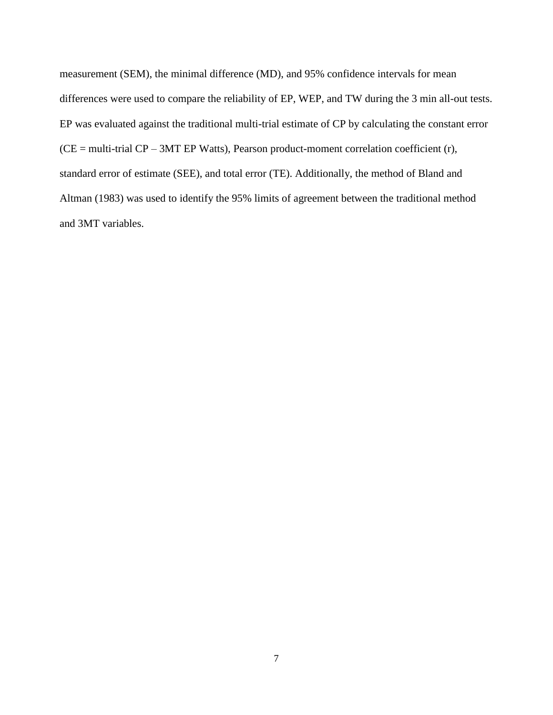measurement (SEM), the minimal difference (MD), and 95% confidence intervals for mean differences were used to compare the reliability of EP, WEP, and TW during the 3 min all-out tests. EP was evaluated against the traditional multi-trial estimate of CP by calculating the constant error  $(CE = multi-trial CP - 3MT EP Watts)$ , Pearson product-moment correlation coefficient (r), standard error of estimate (SEE), and total error (TE). Additionally, the method of Bland and Altman (1983) was used to identify the 95% limits of agreement between the traditional method and 3MT variables.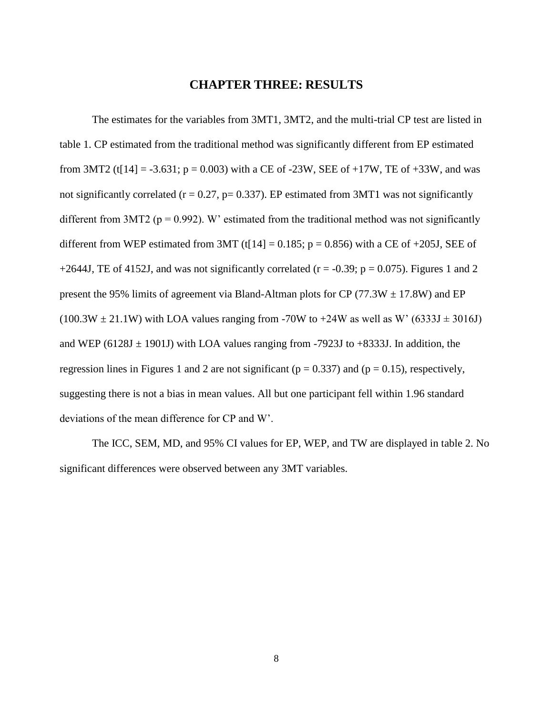#### **CHAPTER THREE: RESULTS**

<span id="page-14-0"></span>The estimates for the variables from 3MT1, 3MT2, and the multi-trial CP test are listed in table 1. CP estimated from the traditional method was significantly different from EP estimated from 3MT2 (t[14] = -3.631; p = 0.003) with a CE of -23W, SEE of +17W, TE of +33W, and was not significantly correlated ( $r = 0.27$ ,  $p = 0.337$ ). EP estimated from 3MT1 was not significantly different from 3MT2 ( $p = 0.992$ ). W' estimated from the traditional method was not significantly different from WEP estimated from 3MT (t[14] =  $0.185$ ; p = 0.856) with a CE of +205J, SEE of +2644J, TE of 4152J, and was not significantly correlated ( $r = -0.39$ ;  $p = 0.075$ ). Figures 1 and 2 present the 95% limits of agreement via Bland-Altman plots for CP (77.3W  $\pm$  17.8W) and EP  $(100.3W \pm 21.1W)$  with LOA values ranging from -70W to +24W as well as W' (6333J  $\pm$  3016J) and WEP (6128J  $\pm$  1901J) with LOA values ranging from -7923J to +8333J. In addition, the regression lines in Figures 1 and 2 are not significant ( $p = 0.337$ ) and ( $p = 0.15$ ), respectively, suggesting there is not a bias in mean values. All but one participant fell within 1.96 standard deviations of the mean difference for CP and W'.

The ICC, SEM, MD, and 95% CI values for EP, WEP, and TW are displayed in table 2. No significant differences were observed between any 3MT variables.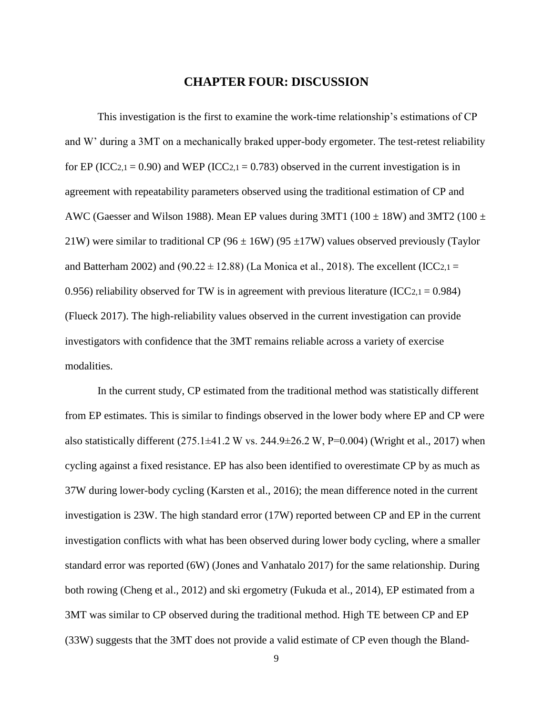#### **CHAPTER FOUR: DISCUSSION**

<span id="page-15-0"></span>This investigation is the first to examine the work-time relationship's estimations of CP and W' during a 3MT on a mechanically braked upper-body ergometer. The test-retest reliability for EP (ICC<sub>2,1</sub> = 0.90) and WEP (ICC<sub>2,1</sub> = 0.783) observed in the current investigation is in agreement with repeatability parameters observed using the traditional estimation of CP and AWC (Gaesser and Wilson 1988). Mean EP values during 3MT1 (100  $\pm$  18W) and 3MT2 (100  $\pm$ 21W) were similar to traditional CP (96  $\pm$  16W) (95  $\pm$ 17W) values observed previously (Taylor and Batterham 2002) and (90.22  $\pm$  12.88) (La Monica et al., 2018). The excellent (ICC<sub>2,1</sub> = 0.956) reliability observed for TW is in agreement with previous literature (ICC $2,1 = 0.984$ ) (Flueck 2017). The high-reliability values observed in the current investigation can provide investigators with confidence that the 3MT remains reliable across a variety of exercise modalities.

In the current study, CP estimated from the traditional method was statistically different from EP estimates. This is similar to findings observed in the lower body where EP and CP were also statistically different  $(275.1\pm41.2 \text{ W}$  vs.  $244.9\pm26.2 \text{ W}$ , P=0.004) (Wright et al., 2017) when cycling against a fixed resistance. EP has also been identified to overestimate CP by as much as 37W during lower-body cycling (Karsten et al., 2016); the mean difference noted in the current investigation is 23W. The high standard error (17W) reported between CP and EP in the current investigation conflicts with what has been observed during lower body cycling, where a smaller standard error was reported (6W) (Jones and Vanhatalo 2017) for the same relationship. During both rowing (Cheng et al., 2012) and ski ergometry (Fukuda et al., 2014), EP estimated from a 3MT was similar to CP observed during the traditional method. High TE between CP and EP (33W) suggests that the 3MT does not provide a valid estimate of CP even though the Bland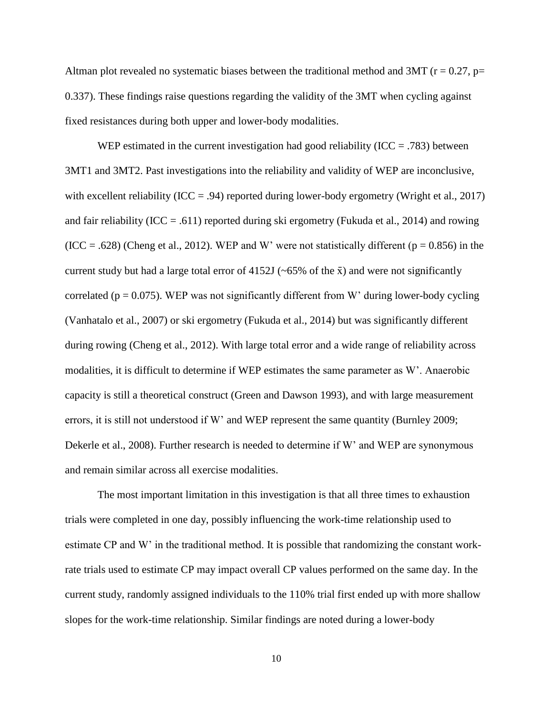Altman plot revealed no systematic biases between the traditional method and 3MT ( $r = 0.27$ ,  $p=$ 0.337). These findings raise questions regarding the validity of the 3MT when cycling against fixed resistances during both upper and lower-body modalities.

WEP estimated in the current investigation had good reliability (ICC = .783) between 3MT1 and 3MT2. Past investigations into the reliability and validity of WEP are inconclusive, with excellent reliability (ICC = .94) reported during lower-body ergometry (Wright et al., 2017) and fair reliability (ICC = .611) reported during ski ergometry (Fukuda et al., 2014) and rowing  $(ICC = .628)$  (Cheng et al., 2012). WEP and W' were not statistically different ( $p = 0.856$ ) in the current study but had a large total error of 4152J ( $\sim$ 65% of the  $\bar{x}$ ) and were not significantly correlated ( $p = 0.075$ ). WEP was not significantly different from W' during lower-body cycling (Vanhatalo et al., 2007) or ski ergometry (Fukuda et al., 2014) but was significantly different during rowing (Cheng et al., 2012). With large total error and a wide range of reliability across modalities, it is difficult to determine if WEP estimates the same parameter as W'. Anaerobic capacity is still a theoretical construct (Green and Dawson 1993), and with large measurement errors, it is still not understood if W' and WEP represent the same quantity (Burnley 2009; Dekerle et al., 2008). Further research is needed to determine if W' and WEP are synonymous and remain similar across all exercise modalities.

The most important limitation in this investigation is that all three times to exhaustion trials were completed in one day, possibly influencing the work-time relationship used to estimate CP and W' in the traditional method. It is possible that randomizing the constant workrate trials used to estimate CP may impact overall CP values performed on the same day. In the current study, randomly assigned individuals to the 110% trial first ended up with more shallow slopes for the work-time relationship. Similar findings are noted during a lower-body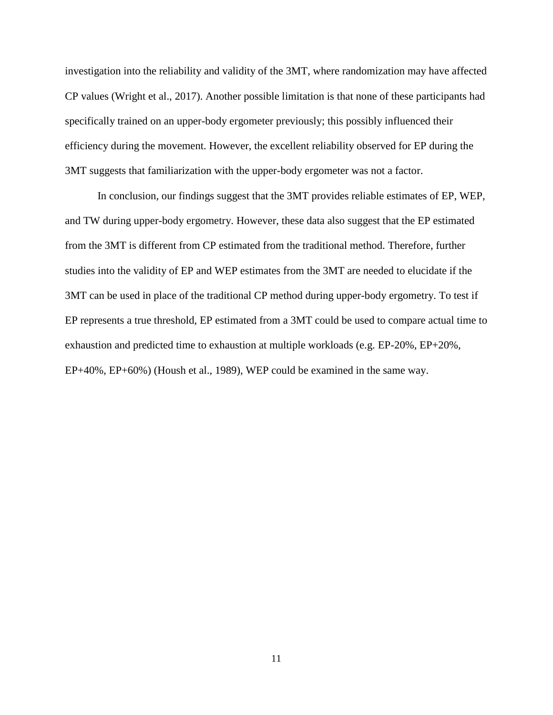investigation into the reliability and validity of the 3MT, where randomization may have affected CP values (Wright et al., 2017). Another possible limitation is that none of these participants had specifically trained on an upper-body ergometer previously; this possibly influenced their efficiency during the movement. However, the excellent reliability observed for EP during the 3MT suggests that familiarization with the upper-body ergometer was not a factor.

In conclusion, our findings suggest that the 3MT provides reliable estimates of EP, WEP, and TW during upper-body ergometry. However, these data also suggest that the EP estimated from the 3MT is different from CP estimated from the traditional method. Therefore, further studies into the validity of EP and WEP estimates from the 3MT are needed to elucidate if the 3MT can be used in place of the traditional CP method during upper-body ergometry. To test if EP represents a true threshold, EP estimated from a 3MT could be used to compare actual time to exhaustion and predicted time to exhaustion at multiple workloads (e.g. EP-20%, EP+20%, EP+40%, EP+60%) (Housh et al., 1989), WEP could be examined in the same way.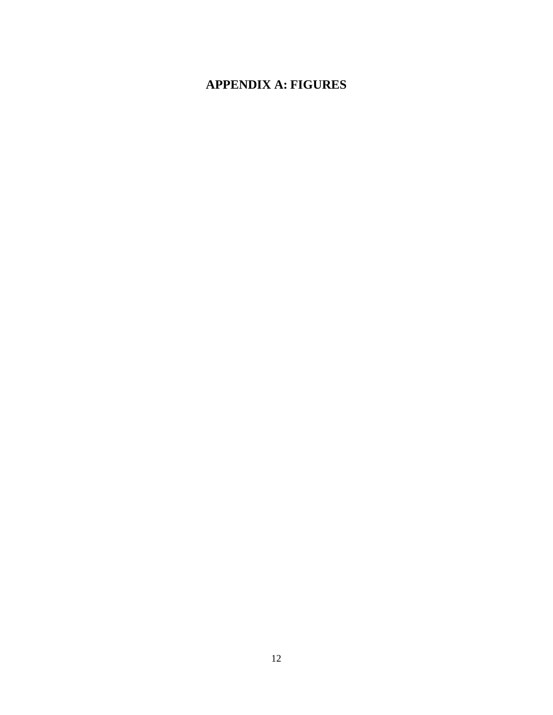## <span id="page-18-0"></span>**APPENDIX A: FIGURES**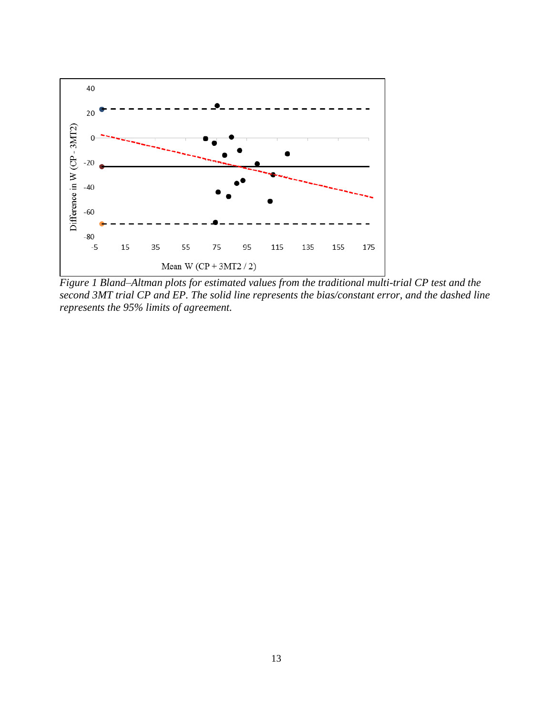

<span id="page-19-0"></span>*Figure 1 Bland–Altman plots for estimated values from the traditional multi-trial CP test and the second 3MT trial CP and EP. The solid line represents the bias/constant error, and the dashed line represents the 95% limits of agreement.*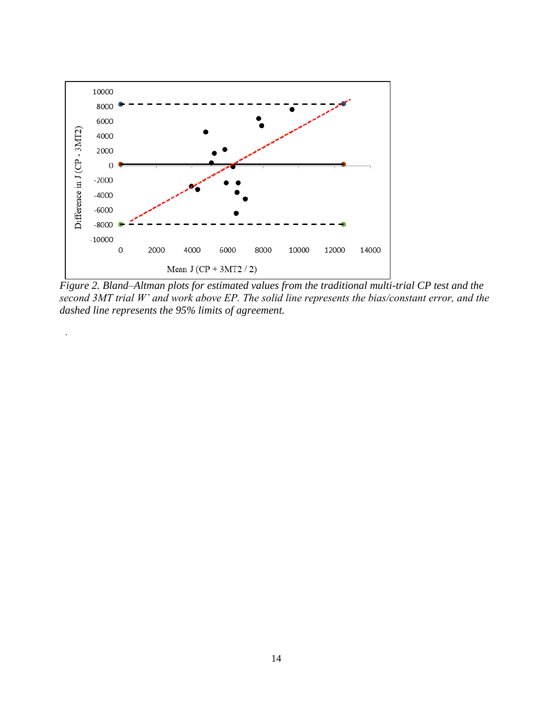

.

<span id="page-20-0"></span>*Figure 2. Bland–Altman plots for estimated values from the traditional multi-trial CP test and the second 3MT trial W' and work above EP. The solid line represents the bias/constant error, and the dashed line represents the 95% limits of agreement.*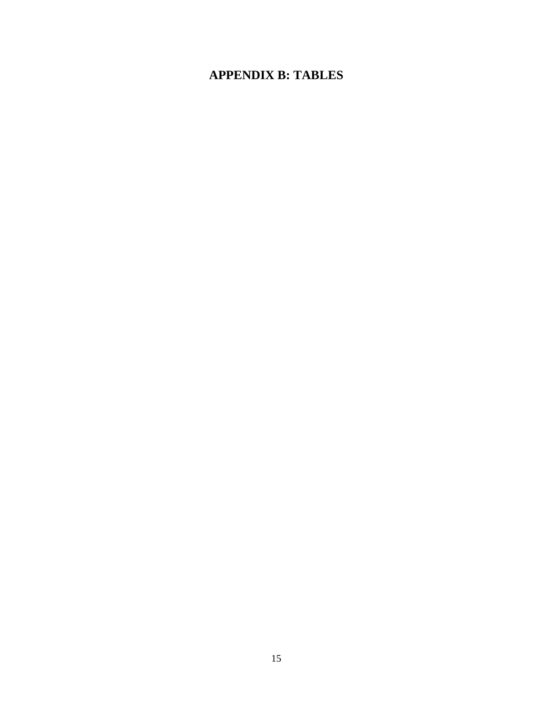## <span id="page-21-0"></span>**APPENDIX B: TABLES**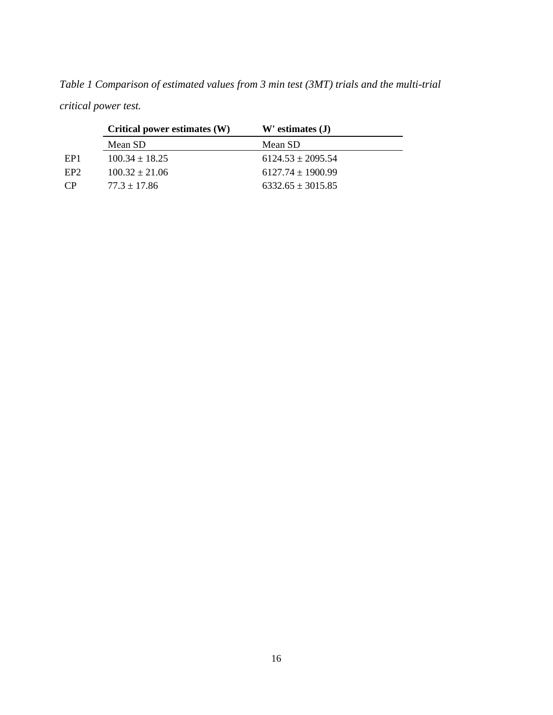|                 | Critical power estimates (W) | $W'$ estimates $(J)$  |
|-----------------|------------------------------|-----------------------|
|                 | Mean SD                      | Mean SD               |
| EP <sub>1</sub> | $100.34 \pm 18.25$           | $6124.53 \pm 2095.54$ |
| EP <sub>2</sub> | $100.32 \pm 21.06$           | $6127.74 \pm 1900.99$ |
| $\mathsf{CP}$   | $77.3 \pm 17.86$             | $6332.65 \pm 3015.85$ |

<span id="page-22-0"></span>*Table 1 Comparison of estimated values from 3 min test (3MT) trials and the multi-trial critical power test.*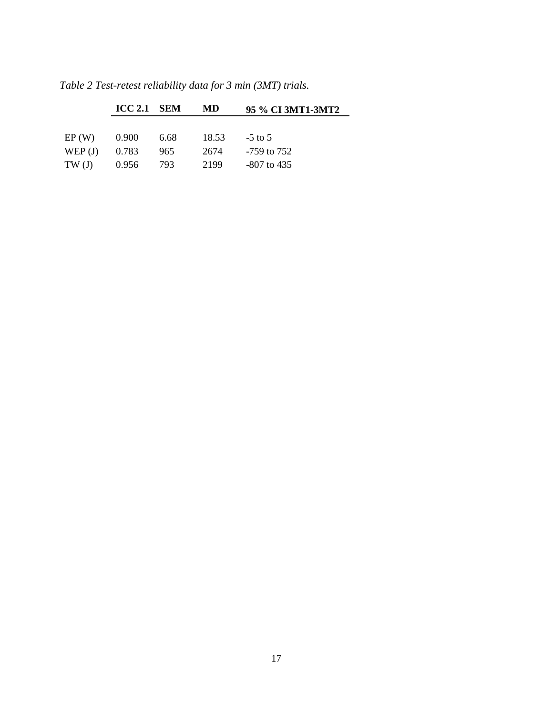|           | $\text{ICC } 2.1$ SEM |      | MD    | 95 % CI 3MT1-3MT2 |
|-----------|-----------------------|------|-------|-------------------|
|           |                       |      |       |                   |
| EP(W)     | 0.900                 | 6.68 | 18.53 | $-5$ to 5         |
| WEP $(J)$ | 0.783                 | 965  | 2674  | -759 to 752       |
| TW(J)     | 0.956                 | 793  | 2199  | $-807$ to 435     |

<span id="page-23-0"></span>*Table 2 Test-retest reliability data for 3 min (3MT) trials.*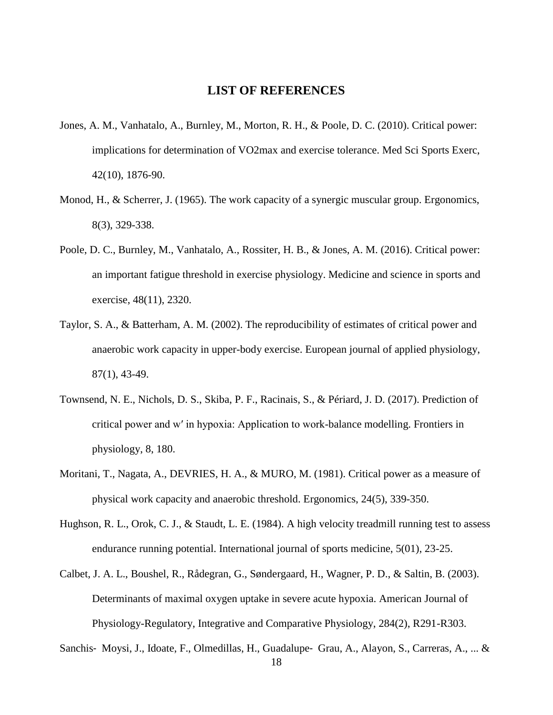#### **LIST OF REFERENCES**

- <span id="page-24-0"></span>Jones, A. M., Vanhatalo, A., Burnley, M., Morton, R. H., & Poole, D. C. (2010). Critical power: implications for determination of VO2max and exercise tolerance. Med Sci Sports Exerc, 42(10), 1876-90.
- Monod, H., & Scherrer, J. (1965). The work capacity of a synergic muscular group. Ergonomics, 8(3), 329-338.
- Poole, D. C., Burnley, M., Vanhatalo, A., Rossiter, H. B., & Jones, A. M. (2016). Critical power: an important fatigue threshold in exercise physiology. Medicine and science in sports and exercise, 48(11), 2320.
- Taylor, S. A., & Batterham, A. M. (2002). The reproducibility of estimates of critical power and anaerobic work capacity in upper-body exercise. European journal of applied physiology, 87(1), 43-49.
- Townsend, N. E., Nichols, D. S., Skiba, P. F., Racinais, S., & Périard, J. D. (2017). Prediction of critical power and w′ in hypoxia: Application to work-balance modelling. Frontiers in physiology, 8, 180.
- Moritani, T., Nagata, A., DEVRIES, H. A., & MURO, M. (1981). Critical power as a measure of physical work capacity and anaerobic threshold. Ergonomics, 24(5), 339-350.
- Hughson, R. L., Orok, C. J., & Staudt, L. E. (1984). A high velocity treadmill running test to assess endurance running potential. International journal of sports medicine, 5(01), 23-25.
- Calbet, J. A. L., Boushel, R., Rådegran, G., Søndergaard, H., Wagner, P. D., & Saltin, B. (2003). Determinants of maximal oxygen uptake in severe acute hypoxia. American Journal of Physiology-Regulatory, Integrative and Comparative Physiology, 284(2), R291-R303.

Sanchis‐ Moysi, J., Idoate, F., Olmedillas, H., Guadalupe‐ Grau, A., Alayon, S., Carreras, A., ... &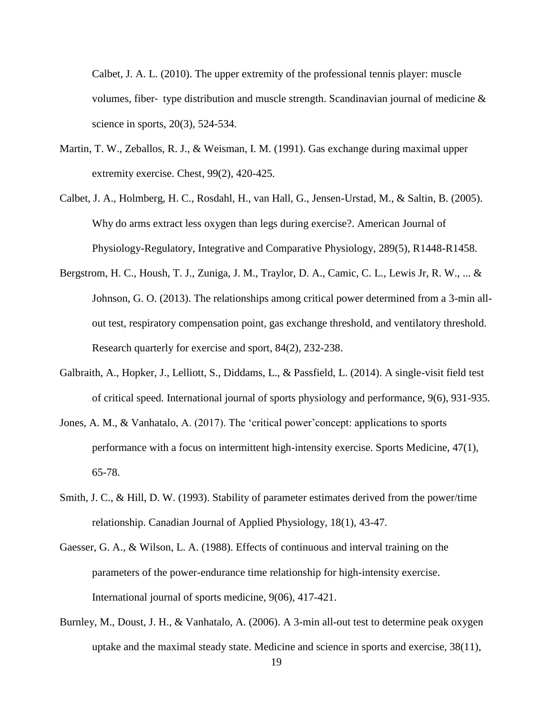Calbet, J. A. L. (2010). The upper extremity of the professional tennis player: muscle volumes, fiber- type distribution and muscle strength. Scandinavian journal of medicine  $\&$ science in sports, 20(3), 524-534.

- Martin, T. W., Zeballos, R. J., & Weisman, I. M. (1991). Gas exchange during maximal upper extremity exercise. Chest, 99(2), 420-425.
- Calbet, J. A., Holmberg, H. C., Rosdahl, H., van Hall, G., Jensen-Urstad, M., & Saltin, B. (2005). Why do arms extract less oxygen than legs during exercise?. American Journal of Physiology-Regulatory, Integrative and Comparative Physiology, 289(5), R1448-R1458.
- Bergstrom, H. C., Housh, T. J., Zuniga, J. M., Traylor, D. A., Camic, C. L., Lewis Jr, R. W., ... & Johnson, G. O. (2013). The relationships among critical power determined from a 3-min allout test, respiratory compensation point, gas exchange threshold, and ventilatory threshold. Research quarterly for exercise and sport, 84(2), 232-238.
- Galbraith, A., Hopker, J., Lelliott, S., Diddams, L., & Passfield, L. (2014). A single-visit field test of critical speed. International journal of sports physiology and performance, 9(6), 931-935.
- Jones, A. M., & Vanhatalo, A. (2017). The 'critical power'concept: applications to sports performance with a focus on intermittent high-intensity exercise. Sports Medicine, 47(1), 65-78.
- Smith, J. C., & Hill, D. W. (1993). Stability of parameter estimates derived from the power/time relationship. Canadian Journal of Applied Physiology, 18(1), 43-47.
- Gaesser, G. A., & Wilson, L. A. (1988). Effects of continuous and interval training on the parameters of the power-endurance time relationship for high-intensity exercise. International journal of sports medicine, 9(06), 417-421.
- Burnley, M., Doust, J. H., & Vanhatalo, A. (2006). A 3-min all-out test to determine peak oxygen uptake and the maximal steady state. Medicine and science in sports and exercise, 38(11),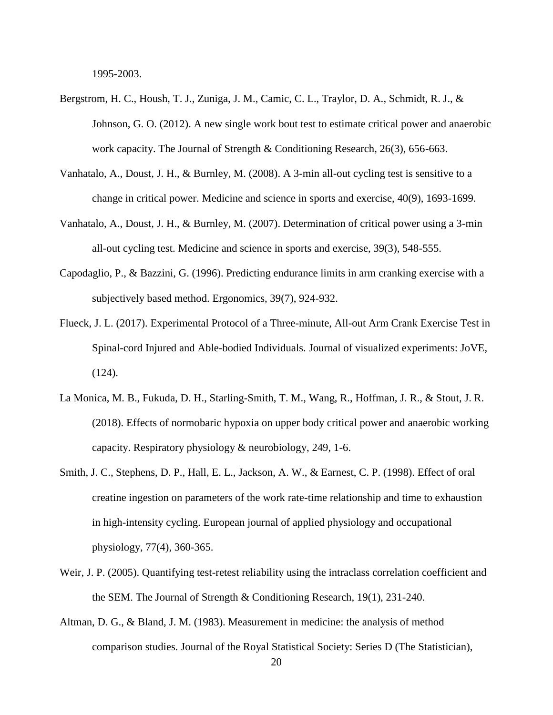1995-2003.

- Bergstrom, H. C., Housh, T. J., Zuniga, J. M., Camic, C. L., Traylor, D. A., Schmidt, R. J., & Johnson, G. O. (2012). A new single work bout test to estimate critical power and anaerobic work capacity. The Journal of Strength & Conditioning Research, 26(3), 656-663.
- Vanhatalo, A., Doust, J. H., & Burnley, M. (2008). A 3-min all-out cycling test is sensitive to a change in critical power. Medicine and science in sports and exercise, 40(9), 1693-1699.
- Vanhatalo, A., Doust, J. H., & Burnley, M. (2007). Determination of critical power using a 3-min all-out cycling test. Medicine and science in sports and exercise, 39(3), 548-555.
- Capodaglio, P., & Bazzini, G. (1996). Predicting endurance limits in arm cranking exercise with a subjectively based method. Ergonomics, 39(7), 924-932.
- Flueck, J. L. (2017). Experimental Protocol of a Three-minute, All-out Arm Crank Exercise Test in Spinal-cord Injured and Able-bodied Individuals. Journal of visualized experiments: JoVE, (124).
- La Monica, M. B., Fukuda, D. H., Starling-Smith, T. M., Wang, R., Hoffman, J. R., & Stout, J. R. (2018). Effects of normobaric hypoxia on upper body critical power and anaerobic working capacity. Respiratory physiology & neurobiology, 249, 1-6.
- Smith, J. C., Stephens, D. P., Hall, E. L., Jackson, A. W., & Earnest, C. P. (1998). Effect of oral creatine ingestion on parameters of the work rate-time relationship and time to exhaustion in high-intensity cycling. European journal of applied physiology and occupational physiology, 77(4), 360-365.
- Weir, J. P. (2005). Quantifying test-retest reliability using the intraclass correlation coefficient and the SEM. The Journal of Strength & Conditioning Research, 19(1), 231-240.
- Altman, D. G., & Bland, J. M. (1983). Measurement in medicine: the analysis of method comparison studies. Journal of the Royal Statistical Society: Series D (The Statistician),